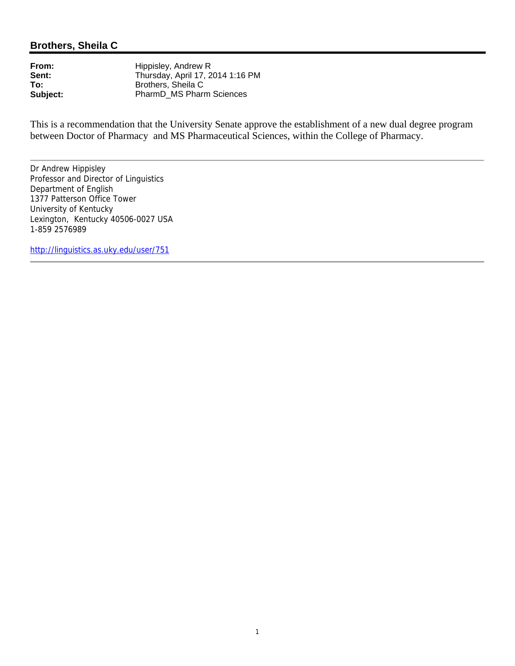# **Brothers, Sheila C**

**From:** Hippisley, Andrew R<br> **Sent:** Thursday, April 17, 2 Sent: Thursday, April 17, 2014 1:16 PM<br> **To:** Brothers, Sheila C **To:** Brothers, Sheila C<br> **Subject:** PharmD\_MS Pharm PharmD MS Pharm Sciences

This is a recommendation that the University Senate approve the establishment of a new dual degree program between Doctor of Pharmacy and MS Pharmaceutical Sciences, within the College of Pharmacy.

Dr Andrew Hippisley Professor and Director of Linguistics Department of English 1377 Patterson Office Tower University of Kentucky Lexington, Kentucky 40506-0027 USA 1-859 2576989

http://linguistics.as.uky.edu/user/751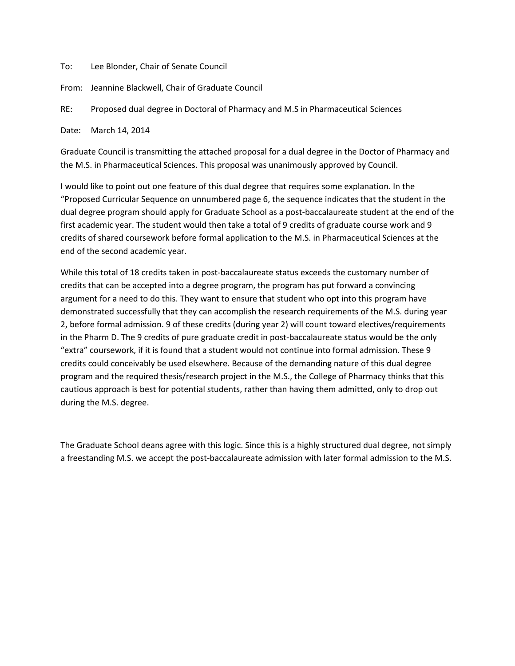To: Lee Blonder, Chair of Senate Council

From: Jeannine Blackwell, Chair of Graduate Council

RE: Proposed dual degree in Doctoral of Pharmacy and M.S in Pharmaceutical Sciences

Date: March 14, 2014

Graduate Council is transmitting the attached proposal for a dual degree in the Doctor of Pharmacy and the M.S. in Pharmaceutical Sciences. This proposal was unanimously approved by Council.

I would like to point out one feature of this dual degree that requires some explanation. In the "Proposed Curricular Sequence on unnumbered page 6, the sequence indicates that the student in the dual degree program should apply for Graduate School as a post-baccalaureate student at the end of the first academic year. The student would then take a total of 9 credits of graduate course work and 9 credits of shared coursework before formal application to the M.S. in Pharmaceutical Sciences at the end of the second academic year.

While this total of 18 credits taken in post-baccalaureate status exceeds the customary number of credits that can be accepted into a degree program, the program has put forward a convincing argument for a need to do this. They want to ensure that student who opt into this program have demonstrated successfully that they can accomplish the research requirements of the M.S. during year 2, before formal admission. 9 of these credits (during year 2) will count toward electives/requirements in the Pharm D. The 9 credits of pure graduate credit in post-baccalaureate status would be the only "extra" coursework, if it is found that a student would not continue into formal admission. These 9 credits could conceivably be used elsewhere. Because of the demanding nature of this dual degree program and the required thesis/research project in the M.S., the College of Pharmacy thinks that this cautious approach is best for potential students, rather than having them admitted, only to drop out during the M.S. degree.

The Graduate School deans agree with this logic. Since this is a highly structured dual degree, not simply a freestanding M.S. we accept the post-baccalaureate admission with later formal admission to the M.S.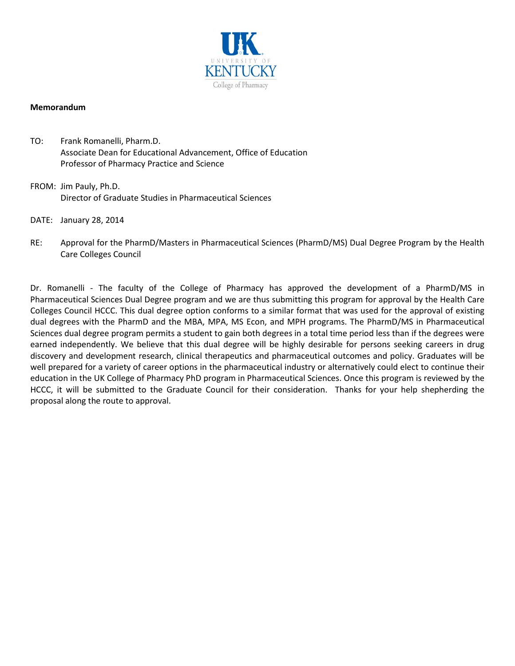

#### **Memorandum**

- TO: Frank Romanelli, Pharm.D. Associate Dean for Educational Advancement, Office of Education Professor of Pharmacy Practice and Science
- FROM: Jim Pauly, Ph.D. Director of Graduate Studies in Pharmaceutical Sciences
- DATE: January 28, 2014
- RE: Approval for the PharmD/Masters in Pharmaceutical Sciences (PharmD/MS) Dual Degree Program by the Health Care Colleges Council

Dr. Romanelli - The faculty of the College of Pharmacy has approved the development of a PharmD/MS in Pharmaceutical Sciences Dual Degree program and we are thus submitting this program for approval by the Health Care Colleges Council HCCC. This dual degree option conforms to a similar format that was used for the approval of existing dual degrees with the PharmD and the MBA, MPA, MS Econ, and MPH programs. The PharmD/MS in Pharmaceutical Sciences dual degree program permits a student to gain both degrees in a total time period less than if the degrees were earned independently. We believe that this dual degree will be highly desirable for persons seeking careers in drug discovery and development research, clinical therapeutics and pharmaceutical outcomes and policy. Graduates will be well prepared for a variety of career options in the pharmaceutical industry or alternatively could elect to continue their education in the UK College of Pharmacy PhD program in Pharmaceutical Sciences. Once this program is reviewed by the HCCC, it will be submitted to the Graduate Council for their consideration. Thanks for your help shepherding the proposal along the route to approval.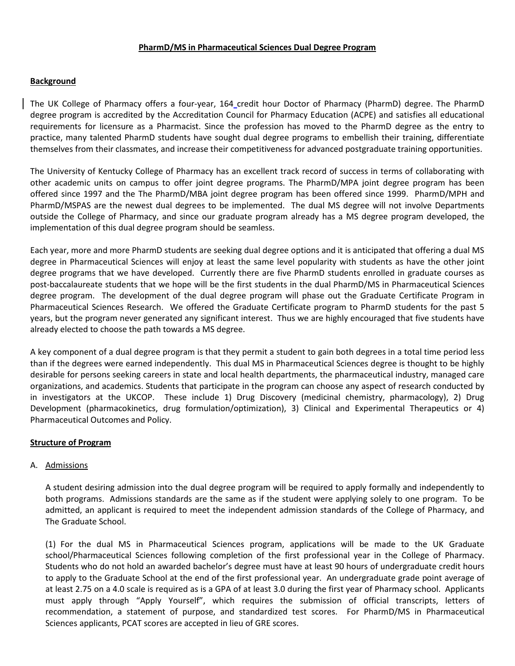# **PharmD/MS in Pharmaceutical Sciences Dual Degree Program**

# **Background**

The UK College of Pharmacy offers a four-year, 164 credit hour Doctor of Pharmacy (PharmD) degree. The PharmD degree program is accredited by the Accreditation Council for Pharmacy Education (ACPE) and satisfies all educational requirements for licensure as a Pharmacist. Since the profession has moved to the PharmD degree as the entry to practice, many talented PharmD students have sought dual degree programs to embellish their training, differentiate themselves from their classmates, and increase their competitiveness for advanced postgraduate training opportunities.

The University of Kentucky College of Pharmacy has an excellent track record of success in terms of collaborating with other academic units on campus to offer joint degree programs. The PharmD/MPA joint degree program has been offered since 1997 and the The PharmD/MBA joint degree program has been offered since 1999. PharmD/MPH and PharmD/MSPAS are the newest dual degrees to be implemented. The dual MS degree will not involve Departments outside the College of Pharmacy, and since our graduate program already has a MS degree program developed, the implementation of this dual degree program should be seamless.

Each year, more and more PharmD students are seeking dual degree options and it is anticipated that offering a dual MS degree in Pharmaceutical Sciences will enjoy at least the same level popularity with students as have the other joint degree programs that we have developed. Currently there are five PharmD students enrolled in graduate courses as post-baccalaureate students that we hope will be the first students in the dual PharmD/MS in Pharmaceutical Sciences degree program. The development of the dual degree program will phase out the Graduate Certificate Program in Pharmaceutical Sciences Research. We offered the Graduate Certificate program to PharmD students for the past 5 years, but the program never generated any significant interest. Thus we are highly encouraged that five students have already elected to choose the path towards a MS degree.

A key component of a dual degree program is that they permit a student to gain both degrees in a total time period less than if the degrees were earned independently. This dual MS in Pharmaceutical Sciences degree is thought to be highly desirable for persons seeking careers in state and local health departments, the pharmaceutical industry, managed care organizations, and academics. Students that participate in the program can choose any aspect of research conducted by in investigators at the UKCOP. These include 1) Drug Discovery (medicinal chemistry, pharmacology), 2) Drug Development (pharmacokinetics, drug formulation/optimization), 3) Clinical and Experimental Therapeutics or 4) Pharmaceutical Outcomes and Policy.

# **Structure of Program**

# A. Admissions

A student desiring admission into the dual degree program will be required to apply formally and independently to both programs. Admissions standards are the same as if the student were applying solely to one program. To be admitted, an applicant is required to meet the independent admission standards of the College of Pharmacy, and The Graduate School.

(1) For the dual MS in Pharmaceutical Sciences program, applications will be made to the UK Graduate school/Pharmaceutical Sciences following completion of the first professional year in the College of Pharmacy. Students who do not hold an awarded bachelor's degree must have at least 90 hours of undergraduate credit hours to apply to the Graduate School at the end of the first professional year. An undergraduate grade point average of at least 2.75 on a 4.0 scale is required as is a GPA of at least 3.0 during the first year of Pharmacy school. Applicants must apply through "Apply Yourself", which requires the submission of official transcripts, letters of recommendation, a statement of purpose, and standardized test scores. For PharmD/MS in Pharmaceutical Sciences applicants, PCAT scores are accepted in lieu of GRE scores.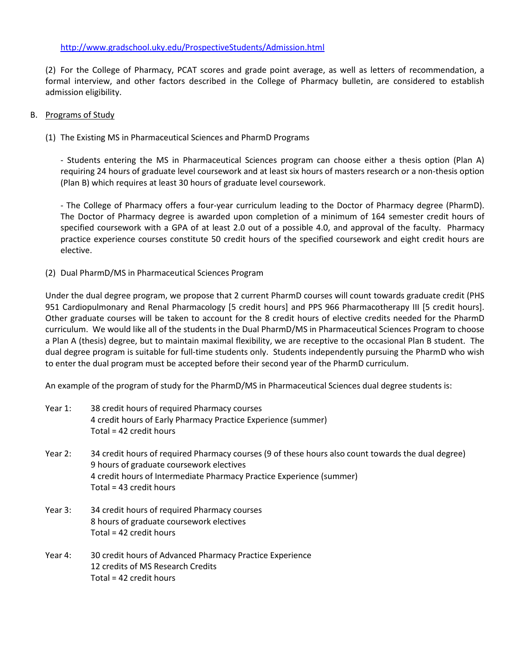# http://www.gradschool.uky.edu/ProspectiveStudents/Admission.html

(2) For the College of Pharmacy, PCAT scores and grade point average, as well as letters of recommendation, a formal interview, and other factors described in the College of Pharmacy bulletin, are considered to establish admission eligibility.

# B. Programs of Study

(1) The Existing MS in Pharmaceutical Sciences and PharmD Programs

- Students entering the MS in Pharmaceutical Sciences program can choose either a thesis option (Plan A) requiring 24 hours of graduate level coursework and at least six hours of masters research or a non-thesis option (Plan B) which requires at least 30 hours of graduate level coursework.

- The College of Pharmacy offers a four-year curriculum leading to the Doctor of Pharmacy degree (PharmD). The Doctor of Pharmacy degree is awarded upon completion of a minimum of 164 semester credit hours of specified coursework with a GPA of at least 2.0 out of a possible 4.0, and approval of the faculty. Pharmacy practice experience courses constitute 50 credit hours of the specified coursework and eight credit hours are elective.

(2) Dual PharmD/MS in Pharmaceutical Sciences Program

Under the dual degree program, we propose that 2 current PharmD courses will count towards graduate credit (PHS 951 Cardiopulmonary and Renal Pharmacology [5 credit hours] and PPS 966 Pharmacotherapy III [5 credit hours]. Other graduate courses will be taken to account for the 8 credit hours of elective credits needed for the PharmD curriculum. We would like all of the students in the Dual PharmD/MS in Pharmaceutical Sciences Program to choose a Plan A (thesis) degree, but to maintain maximal flexibility, we are receptive to the occasional Plan B student. The dual degree program is suitable for full-time students only. Students independently pursuing the PharmD who wish to enter the dual program must be accepted before their second year of the PharmD curriculum.

An example of the program of study for the PharmD/MS in Pharmaceutical Sciences dual degree students is:

| Year 1: | 38 credit hours of required Pharmacy courses                  |
|---------|---------------------------------------------------------------|
|         | 4 credit hours of Early Pharmacy Practice Experience (summer) |
|         | Total = 42 credit hours                                       |

- Year 2: 34 credit hours of required Pharmacy courses (9 of these hours also count towards the dual degree) 9 hours of graduate coursework electives 4 credit hours of Intermediate Pharmacy Practice Experience (summer) Total = 43 credit hours
- Year 3: 34 credit hours of required Pharmacy courses 8 hours of graduate coursework electives Total = 42 credit hours
- Year 4: 30 credit hours of Advanced Pharmacy Practice Experience 12 credits of MS Research Credits Total = 42 credit hours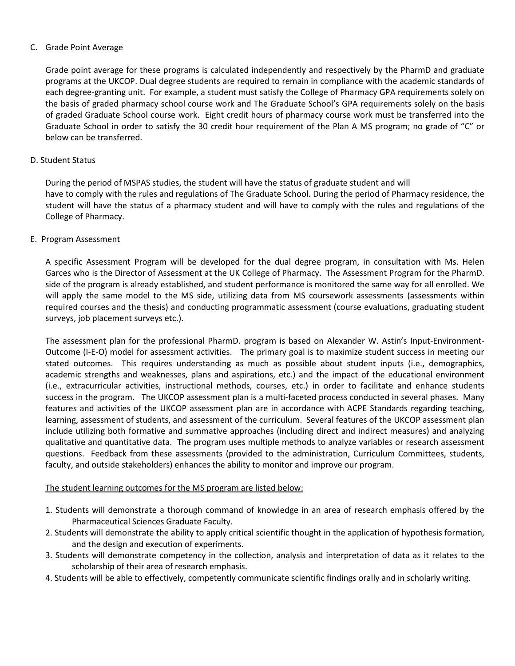#### C. Grade Point Average

Grade point average for these programs is calculated independently and respectively by the PharmD and graduate programs at the UKCOP. Dual degree students are required to remain in compliance with the academic standards of each degree-granting unit. For example, a student must satisfy the College of Pharmacy GPA requirements solely on the basis of graded pharmacy school course work and The Graduate School's GPA requirements solely on the basis of graded Graduate School course work. Eight credit hours of pharmacy course work must be transferred into the Graduate School in order to satisfy the 30 credit hour requirement of the Plan A MS program; no grade of "C" or below can be transferred.

# D. Student Status

During the period of MSPAS studies, the student will have the status of graduate student and will have to comply with the rules and regulations of The Graduate School. During the period of Pharmacy residence, the student will have the status of a pharmacy student and will have to comply with the rules and regulations of the College of Pharmacy.

# E. Program Assessment

A specific Assessment Program will be developed for the dual degree program, in consultation with Ms. Helen Garces who is the Director of Assessment at the UK College of Pharmacy. The Assessment Program for the PharmD. side of the program is already established, and student performance is monitored the same way for all enrolled. We will apply the same model to the MS side, utilizing data from MS coursework assessments (assessments within required courses and the thesis) and conducting programmatic assessment (course evaluations, graduating student surveys, job placement surveys etc.).

The assessment plan for the professional PharmD. program is based on Alexander W. Astin's Input-Environment-Outcome (I-E-O) model for assessment activities. The primary goal is to maximize student success in meeting our stated outcomes. This requires understanding as much as possible about student inputs (i.e., demographics, academic strengths and weaknesses, plans and aspirations, etc.) and the impact of the educational environment (i.e., extracurricular activities, instructional methods, courses, etc.) in order to facilitate and enhance students success in the program. The UKCOP assessment plan is a multi-faceted process conducted in several phases. Many features and activities of the UKCOP assessment plan are in accordance with ACPE Standards regarding teaching, learning, assessment of students, and assessment of the curriculum. Several features of the UKCOP assessment plan include utilizing both formative and summative approaches (including direct and indirect measures) and analyzing qualitative and quantitative data. The program uses multiple methods to analyze variables or research assessment questions. Feedback from these assessments (provided to the administration, Curriculum Committees, students, faculty, and outside stakeholders) enhances the ability to monitor and improve our program.

# The student learning outcomes for the MS program are listed below:

- 1. Students will demonstrate a thorough command of knowledge in an area of research emphasis offered by the Pharmaceutical Sciences Graduate Faculty.
- 2. Students will demonstrate the ability to apply critical scientific thought in the application of hypothesis formation, and the design and execution of experiments.
- 3. Students will demonstrate competency in the collection, analysis and interpretation of data as it relates to the scholarship of their area of research emphasis.
- 4. Students will be able to effectively, competently communicate scientific findings orally and in scholarly writing.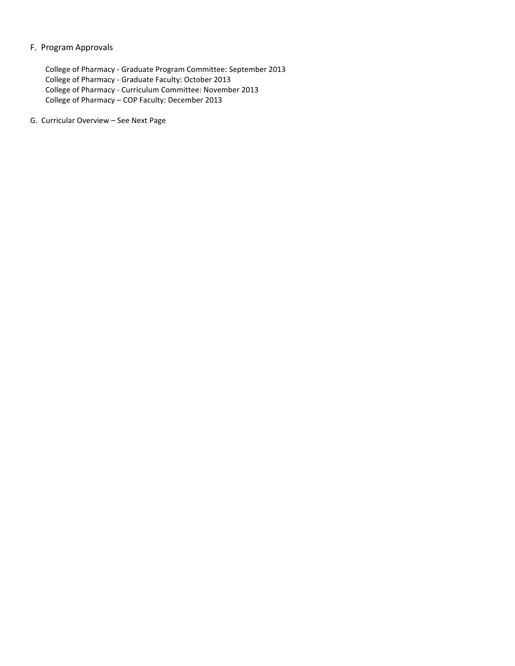#### F. Program Approvals

College of Pharmacy - Graduate Program Committee: September 2013 College of Pharmacy - Graduate Faculty: October 2013 College of Pharmacy - Curriculum Committee: November 2013 College of Pharmacy – COP Faculty: December 2013

G. Curricular Overview – See Next Page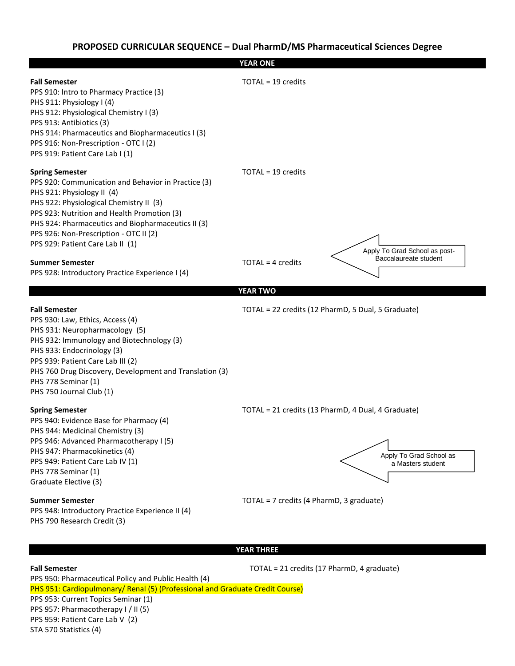

#### **YEAR THREE**

**Fall Semester** TOTAL = 21 credits (17 PharmD, 4 graduate) [PPS 950: Pharmaceutical Policy and Public Health](http://www.mc.uky.edu/pharmacy/prospective/pharmd/year3.html#950) (4) [PHS 951: Cardiopulmonary/ Renal \(](http://www.mc.uky.edu/pharmacy/prospective/pharmd/year3.html#951)5) (Professional and Graduate Credit Course) [PPS 953: Current Topics Seminar \(](http://www.mc.uky.edu/pharmacy/prospective/pharmd/year3.html#957)1) [PPS 957: Pharmacotherapy I](http://www.mc.uky.edu/pharmacy/prospective/pharmd/year3.html#956) / II (5) [PPS 959: Patient Care Lab V](http://www.mc.uky.edu/pharmacy/prospective/pharmd/year3.html#959) (2) STA 570 Statistics (4)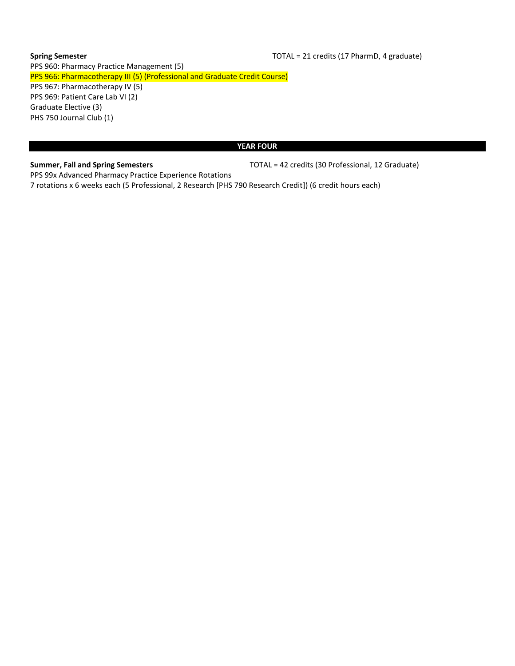# **Spring Semester Spring Semester TOTAL** = 21 credits (17 PharmD, 4 graduate) [PPS 960: Pharmacy Practice Management](http://www.mc.uky.edu/pharmacy/prospective/pharmd/year3.html#960) (5) [PPS 966: Pharmacotherapy III](http://www.mc.uky.edu/pharmacy/prospective/pharmd/year3.html#966) (5) (Professional and Graduate Credit Course) [PPS 967: Pharmacotherapy IV](http://www.mc.uky.edu/pharmacy/prospective/pharmd/year3.html#966) (5) [PPS 969: Patient Care Lab VI \(](http://www.mc.uky.edu/pharmacy/prospective/pharmd/year3.html#969)2) Graduate Elective (3) PHS 750 Journal Club (1)

#### **YEAR FOUR**

**Summer, Fall and Spring Semesters** TOTAL = 42 credits (30 Professional, 12 Graduate)

PPS 99x Advanced Pharmacy Practice Experience Rotations 7 rotations x 6 weeks each (5 Professional, 2 Research [PHS 790 Research Credit]) (6 credit hours each)